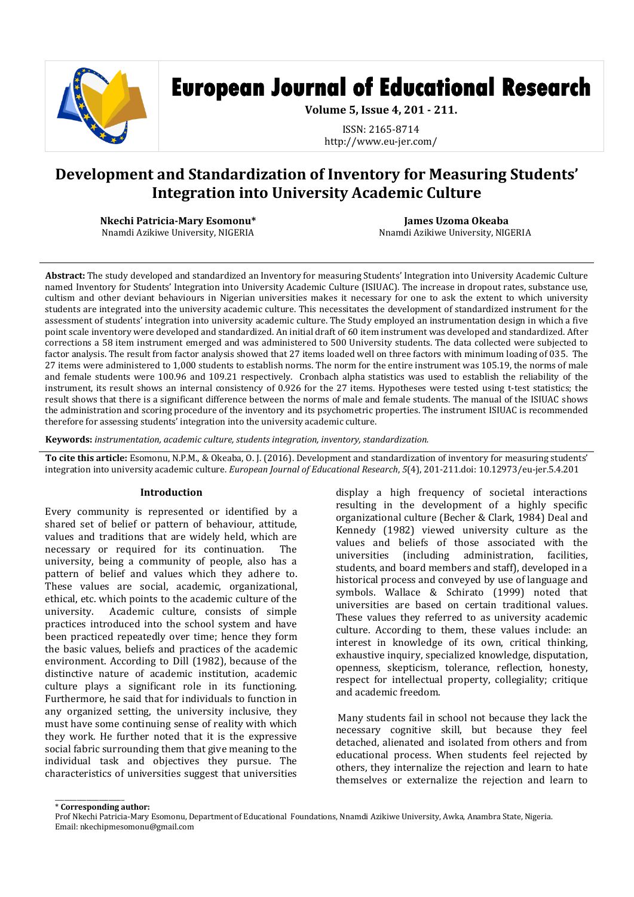

# **European Journal of Educational Research**

**Volume 5, Issue 4, 201 - 211.**

ISSN: 2165-8714 http://www.eu-jer.com/

# **Development and Standardization of Inventory for Measuring Students' Integration into University Academic Culture**

**Nkechi Patricia-Mary Esomonu\*** Nnamdi Azikiwe University, NIGERIA

**James Uzoma Okeaba** Nnamdi Azikiwe University, NIGERIA

**Abstract:** The study developed and standardized an Inventory for measuring Students' Integration into University Academic Culture named Inventory for Students' Integration into University Academic Culture (ISIUAC). The increase in dropout rates, substance use, cultism and other deviant behaviours in Nigerian universities makes it necessary for one to ask the extent to which university students are integrated into the university academic culture. This necessitates the development of standardized instrument for the assessment of students' integration into university academic culture. The Study employed an instrumentation design in which a five point scale inventory were developed and standardized. An initial draft of 60 item instrument was developed and standardized. After corrections a 58 item instrument emerged and was administered to 500 University students. The data collected were subjected to factor analysis. The result from factor analysis showed that 27 items loaded well on three factors with minimum loading of 035. The 27 items were administered to 1,000 students to establish norms. The norm for the entire instrument was 105.19, the norms of male and female students were 100.96 and 109.21 respectively. Cronbach alpha statistics was used to establish the reliability of the instrument, its result shows an internal consistency of 0.926 for the 27 items. Hypotheses were tested using t-test statistics; the result shows that there is a significant difference between the norms of male and female students. The manual of the ISIUAC shows the administration and scoring procedure of the inventory and its psychometric properties. The instrument ISIUAC is recommended therefore for assessing students' integration into the university academic culture.

**Keywords:** *instrumentation, academic culture, students integration, inventory, standardization.*

**To cite this article:** Esomonu, N.P.M., & Okeaba, O. J. (2016). Development and standardization of inventory for measuring students' integration into university academic culture. *European Journal of Educational Research*, *5*(4), 201-211.doi: 10.12973/eu-jer.5.4.201

# **Introduction**

Every community is represented or identified by a shared set of belief or pattern of behaviour, attitude, values and traditions that are widely held, which are necessary or required for its continuation. The university, being a community of people, also has a pattern of belief and values which they adhere to. These values are social, academic, organizational, ethical, etc. which points to the academic culture of the university. Academic culture, consists of simple practices introduced into the school system and have been practiced repeatedly over time; hence they form the basic values, beliefs and practices of the academic environment. According to Dill (1982), because of the distinctive nature of academic institution, academic culture plays a significant role in its functioning. Furthermore, he said that for individuals to function in any organized setting, the university inclusive, they must have some continuing sense of reality with which they work. He further noted that it is the expressive social fabric surrounding them that give meaning to the individual task and objectives they pursue. The characteristics of universities suggest that universities

display a high frequency of societal interactions resulting in the development of a highly specific organizational culture (Becher & Clark, 1984) Deal and Kennedy (1982) viewed university culture as the values and beliefs of those associated with the universities (including administration, facilities, students, and board members and staff), developed in a historical process and conveyed by use of language and symbols. Wallace & Schirato (1999) noted that universities are based on certain traditional values. These values they referred to as university academic culture. According to them, these values include: an interest in knowledge of its own, critical thinking, exhaustive inquiry, specialized knowledge, disputation, openness, skepticism, tolerance, reflection, honesty, respect for intellectual property, collegiality; critique and academic freedom.

Many students fail in school not because they lack the necessary cognitive skill, but because they feel detached, alienated and isolated from others and from educational process. When students feel rejected by others, they internalize the rejection and learn to hate themselves or externalize the rejection and learn to

 $\overline{\phantom{a}}$  , and the contract of the contract of the contract of the contract of the contract of the contract of the contract of the contract of the contract of the contract of the contract of the contract of the contrac \* **Corresponding author:**

Prof Nkechi Patricia-Mary Esomonu, Department of Educational Foundations, Nnamdi Azikiwe University, Awka, Anambra State, Nigeria. Email: nkechipmesomonu@gmail.com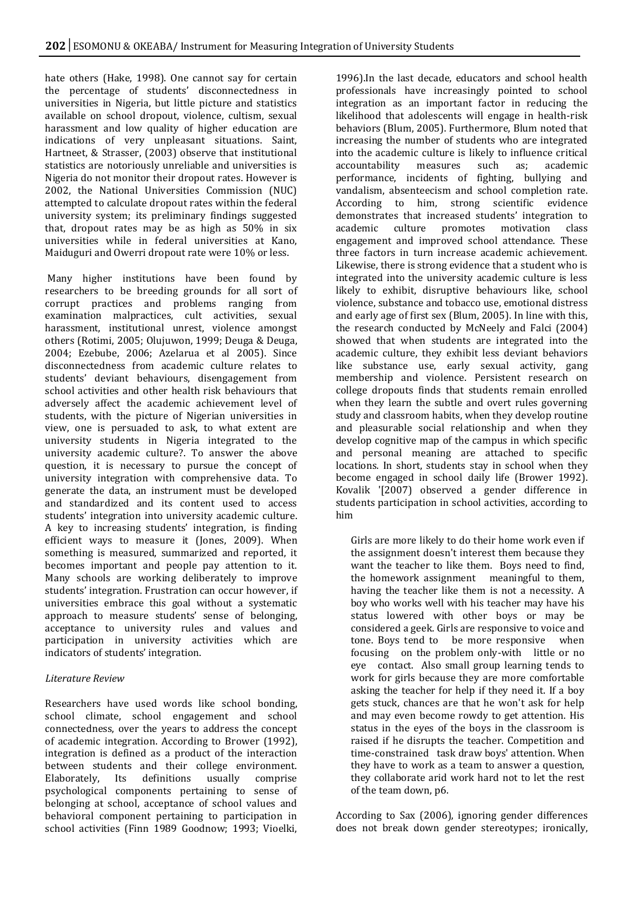hate others (Hake, 1998). One cannot say for certain the percentage of students' disconnectedness in universities in Nigeria, but little picture and statistics available on school dropout, violence, cultism, sexual harassment and low quality of higher education are indications of very unpleasant situations. Saint, Hartneet, & Strasser, (2003) observe that institutional statistics are notoriously unreliable and universities is Nigeria do not monitor their dropout rates. However is 2002, the National Universities Commission (NUC) attempted to calculate dropout rates within the federal university system; its preliminary findings suggested that, dropout rates may be as high as 50% in six universities while in federal universities at Kano, Maiduguri and Owerri dropout rate were 10% or less.

Many higher institutions have been found by researchers to be breeding grounds for all sort of corrupt practices and problems ranging from examination malpractices, cult activities, sexual harassment, institutional unrest, violence amongst others (Rotimi, 2005; Olujuwon, 1999; Deuga & Deuga, 2004; Ezebube, 2006; Azelarua et al 2005). Since disconnectedness from academic culture relates to students' deviant behaviours, disengagement from school activities and other health risk behaviours that adversely affect the academic achievement level of students, with the picture of Nigerian universities in view, one is persuaded to ask, to what extent are university students in Nigeria integrated to the university academic culture?. To answer the above question, it is necessary to pursue the concept of university integration with comprehensive data. To generate the data, an instrument must be developed and standardized and its content used to access students' integration into university academic culture. A key to increasing students' integration, is finding efficient ways to measure it (Jones, 2009). When something is measured, summarized and reported, it becomes important and people pay attention to it. Many schools are working deliberately to improve students' integration. Frustration can occur however, if universities embrace this goal without a systematic approach to measure students' sense of belonging, acceptance to university rules and values and participation in university activities which are indicators of students' integration.

# *Literature Review*

Researchers have used words like school bonding, school climate, school engagement and school connectedness, over the years to address the concept of academic integration. According to Brower (1992), integration is defined as a product of the interaction between students and their college environment. Elaborately, Its definitions usually comprise psychological components pertaining to sense of belonging at school, acceptance of school values and behavioral component pertaining to participation in school activities (Finn 1989 Goodnow; 1993; Vioelki,

1996).In the last decade, educators and school health professionals have increasingly pointed to school integration as an important factor in reducing the likelihood that adolescents will engage in health-risk behaviors (Blum, 2005). Furthermore, Blum noted that increasing the number of students who are integrated into the academic culture is likely to influence critical accountability measures such as; academic performance, incidents of fighting, bullying and vandalism, absenteecism and school completion rate. According to him, strong scientific evidence demonstrates that increased students' integration to academic culture promotes motivation class engagement and improved school attendance. These three factors in turn increase academic achievement. Likewise, there is strong evidence that a student who is integrated into the university academic culture is less likely to exhibit, disruptive behaviours like, school violence, substance and tobacco use, emotional distress and early age of first sex (Blum, 2005). In line with this, the research conducted by McNeely and Falci (2004) showed that when students are integrated into the academic culture, they exhibit less deviant behaviors like substance use, early sexual activity, gang membership and violence. Persistent research on college dropouts finds that students remain enrolled when they learn the subtle and overt rules governing study and classroom habits, when they develop routine and pleasurable social relationship and when they develop cognitive map of the campus in which specific and personal meaning are attached to specific locations. In short, students stay in school when they become engaged in school daily life (Brower 1992). Kovalik '[2007) observed a gender difference in students participation in school activities, according to him

Girls are more likely to do their home work even if the assignment doesn't interest them because they want the teacher to like them. Boys need to find, the homework assignment meaningful to them, having the teacher like them is not a necessity. A boy who works well with his teacher may have his status lowered with other boys or may be considered a geek. Girls are responsive to voice and tone. Boys tend to be more responsive when focusing on the problem only-with little or no eye contact. Also small group learning tends to work for girls because they are more comfortable asking the teacher for help if they need it. If a boy gets stuck, chances are that he won't ask for help and may even become rowdy to get attention. His status in the eyes of the boys in the classroom is raised if he disrupts the teacher. Competition and time-constrained task draw boys' attention. When they have to work as a team to answer a question, they collaborate arid work hard not to let the rest of the team down, p6.

According to Sax (2006), ignoring gender differences does not break down gender stereotypes; ironically,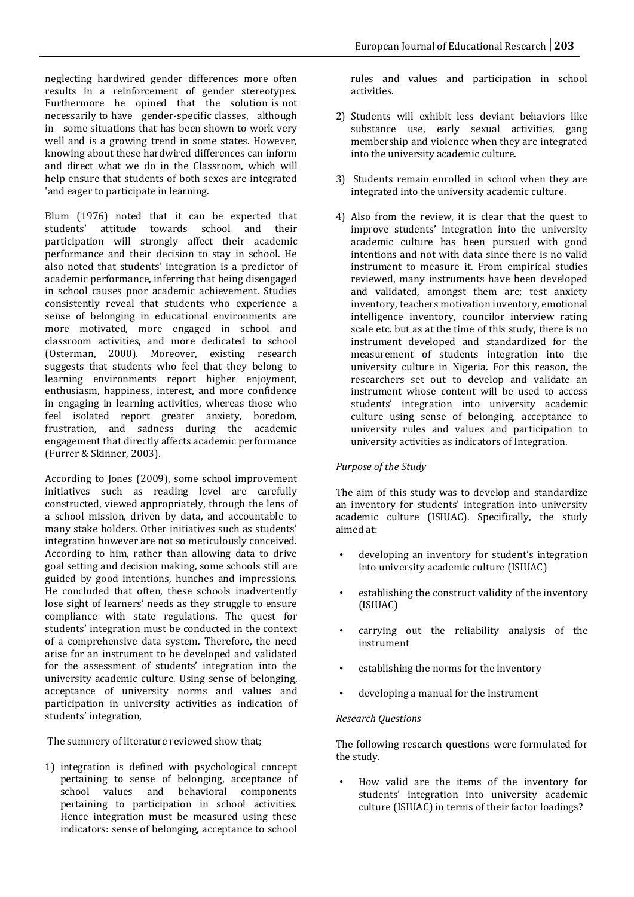neglecting hardwired gender differences more often results in a reinforcement of gender stereotypes. Furthermore he opined that the solution is not necessarily to have gender-specific classes, although in some situations that has been shown to work very well and is a growing trend in some states. However, knowing about these hardwired differences can inform and direct what we do in the Classroom, which will help ensure that students of both sexes are integrated 'and eager to participate in learning.

Blum (1976) noted that it can be expected that students' attitude towards school and their students' attitude towards school and participation will strongly affect their academic performance and their decision to stay in school. He also noted that students' integration is a predictor of academic performance, inferring that being disengaged in school causes poor academic achievement. Studies consistently reveal that students who experience a sense of belonging in educational environments are more motivated, more engaged in school and classroom activities, and more dedicated to school (Osterman, 2000). Moreover, existing research suggests that students who feel that they belong to learning environments report higher enjoyment, enthusiasm, happiness, interest, and more confidence in engaging in learning activities, whereas those who feel isolated report greater anxiety, boredom, frustration, and sadness during the academic engagement that directly affects academic performance (Furrer & Skinner, 2003).

According to Jones (2009), some school improvement initiatives such as reading level are carefully constructed, viewed appropriately, through the lens of a school mission, driven by data, and accountable to many stake holders. Other initiatives such as students' integration however are not so meticulously conceived. According to him, rather than allowing data to drive goal setting and decision making, some schools still are guided by good intentions, hunches and impressions. He concluded that often, these schools inadvertently lose sight of learners' needs as they struggle to ensure compliance with state regulations. The quest for students' integration must be conducted in the context of a comprehensive data system. Therefore, the need arise for an instrument to be developed and validated for the assessment of students' integration into the university academic culture. Using sense of belonging, acceptance of university norms and values and participation in university activities as indication of students' integration,

The summery of literature reviewed show that;

1) integration is defined with psychological concept pertaining to sense of belonging, acceptance of school values and behavioral components pertaining to participation in school activities. Hence integration must be measured using these indicators: sense of belonging, acceptance to school

rules and values and participation in school activities.

- 2) Students will exhibit less deviant behaviors like substance use, early sexual activities, gang membership and violence when they are integrated into the university academic culture.
- 3) Students remain enrolled in school when they are integrated into the university academic culture.
- 4) Also from the review, it is clear that the quest to improve students' integration into the university academic culture has been pursued with good intentions and not with data since there is no valid instrument to measure it. From empirical studies reviewed, many instruments have been developed and validated, amongst them are; test anxiety inventory, teachers motivation inventory, emotional intelligence inventory, councilor interview rating scale etc. but as at the time of this study, there is no instrument developed and standardized for the measurement of students integration into the university culture in Nigeria. For this reason, the researchers set out to develop and validate an instrument whose content will be used to access students' integration into university academic culture using sense of belonging, acceptance to university rules and values and participation to university activities as indicators of Integration.

# *Purpose of the Study*

The aim of this study was to develop and standardize an inventory for students' integration into university academic culture (ISIUAC). Specifically, the study aimed at:

- developing an inventory for student's integration into university academic culture (ISIUAC)
- establishing the construct validity of the inventory (ISIUAC)
- carrying out the reliability analysis of the instrument
- establishing the norms for the inventory
- developing a manual for the instrument

# *Research Questions*

The following research questions were formulated for the study.

• How valid are the items of the inventory for students' integration into university academic culture (ISIUAC) in terms of their factor loadings?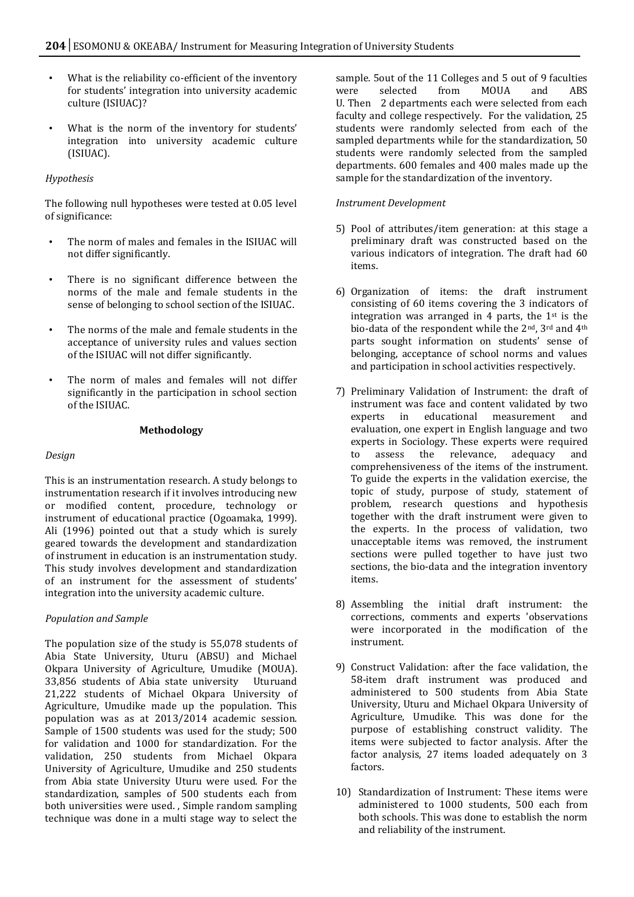- What is the reliability co-efficient of the inventory for students' integration into university academic culture (ISIUAC)?
- What is the norm of the inventory for students' integration into university academic culture (ISIUAC).

# *Hypothesis*

The following null hypotheses were tested at 0.05 level of significance:

- The norm of males and females in the ISIUAC will not differ significantly.
- There is no significant difference between the norms of the male and female students in the sense of belonging to school section of the ISIUAC.
- The norms of the male and female students in the acceptance of university rules and values section of the ISIUAC will not differ significantly.
- The norm of males and females will not differ significantly in the participation in school section of the ISIUAC.

#### **Methodology**

#### *Design*

This is an instrumentation research. A study belongs to instrumentation research if it involves introducing new or modified content, procedure, technology or instrument of educational practice (Ogoamaka, 1999). Ali (1996) pointed out that a study which is surely geared towards the development and standardization of instrument in education is an instrumentation study. This study involves development and standardization of an instrument for the assessment of students' integration into the university academic culture.

# *Population and Sample*

The population size of the study is 55,078 students of Abia State University, Uturu (ABSU) and Michael Okpara University of Agriculture, Umudike (MOUA). 33,856 students of Abia state university Uturuand 21,222 students of Michael Okpara University of Agriculture, Umudike made up the population. This population was as at 2013/2014 academic session. Sample of 1500 students was used for the study; 500 for validation and 1000 for standardization. For the validation, 250 students from Michael Okpara University of Agriculture, Umudike and 250 students from Abia state University Uturu were used. For the standardization, samples of 500 students each from both universities were used. , Simple random sampling technique was done in a multi stage way to select the

sample. 5out of the 11 Colleges and 5 out of 9 faculties<br>were selected from MOUA and ABS were selected from MOUA and ABS U. Then 2 departments each were selected from each faculty and college respectively. For the validation, 25 students were randomly selected from each of the sampled departments while for the standardization, 50 students were randomly selected from the sampled departments. 600 females and 400 males made up the sample for the standardization of the inventory.

#### *Instrument Development*

- 5) Pool of attributes/item generation: at this stage a preliminary draft was constructed based on the various indicators of integration. The draft had 60 items.
- 6) Organization of items: the draft instrument consisting of 60 items covering the 3 indicators of integration was arranged in 4 parts, the  $1<sup>st</sup>$  is the bio-data of the respondent while the 2nd, 3rd and 4th parts sought information on students' sense of belonging, acceptance of school norms and values and participation in school activities respectively.
- 7) Preliminary Validation of Instrument: the draft of instrument was face and content validated by two experts in educational measurement and evaluation, one expert in English language and two experts in Sociology. These experts were required to assess the relevance, adequacy and comprehensiveness of the items of the instrument. To guide the experts in the validation exercise, the topic of study, purpose of study, statement of problem, research questions and hypothesis together with the draft instrument were given to the experts. In the process of validation, two unacceptable items was removed, the instrument sections were pulled together to have just two sections, the bio-data and the integration inventory items.
- 8) Assembling the initial draft instrument: the corrections, comments and experts 'observations were incorporated in the modification of the instrument.
- 9) Construct Validation: after the face validation, the 58-item draft instrument was produced and administered to 500 students from Abia State University, Uturu and Michael Okpara University of Agriculture, Umudike. This was done for the purpose of establishing construct validity. The items were subjected to factor analysis. After the factor analysis, 27 items loaded adequately on 3 factors.
- 10) Standardization of Instrument: These items were administered to 1000 students, 500 each from both schools. This was done to establish the norm and reliability of the instrument.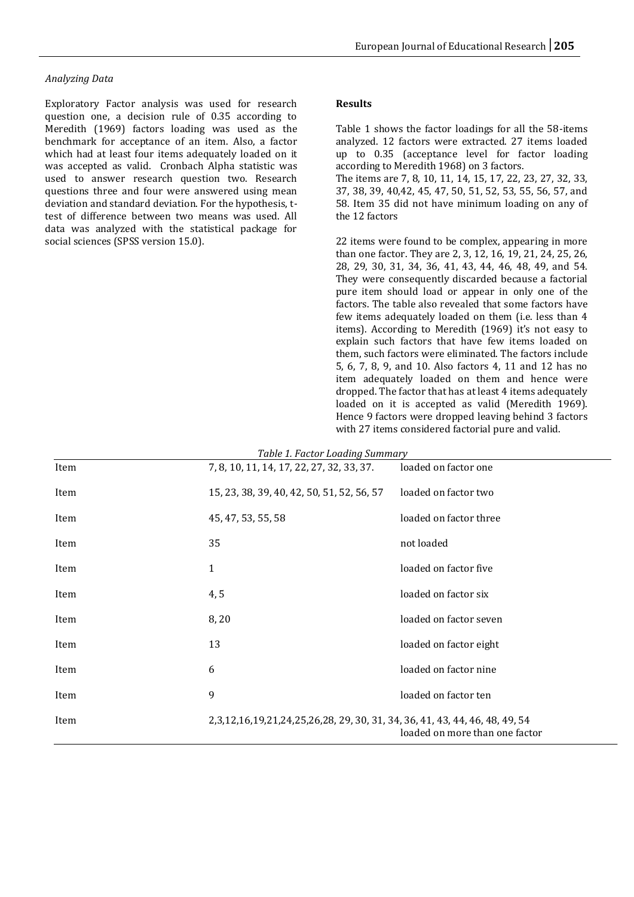#### *Analyzing Data*

Exploratory Factor analysis was used for research question one, a decision rule of 0.35 according to Meredith (1969) factors loading was used as the benchmark for acceptance of an item. Also, a factor which had at least four items adequately loaded on it was accepted as valid. Cronbach Alpha statistic was used to answer research question two. Research questions three and four were answered using mean deviation and standard deviation. For the hypothesis, ttest of difference between two means was used. All data was analyzed with the statistical package for social sciences (SPSS version 15.0).

#### **Results**

Table 1 shows the factor loadings for all the 58-items analyzed. 12 factors were extracted. 27 items loaded up to 0.35 (acceptance level for factor loading according to Meredith 1968) on 3 factors. The items are 7, 8, 10, 11, 14, 15, 17, 22, 23, 27, 32, 33, 37, 38, 39, 40,42, 45, 47, 50, 51, 52, 53, 55, 56, 57, and 58. Item 35 did not have minimum loading on any of the 12 factors

22 items were found to be complex, appearing in more than one factor. They are 2, 3, 12, 16, 19, 21, 24, 25, 26, 28, 29, 30, 31, 34, 36, 41, 43, 44, 46, 48, 49, and 54. They were consequently discarded because a factorial pure item should load or appear in only one of the factors. The table also revealed that some factors have few items adequately loaded on them (i.e. less than 4 items). According to Meredith (1969) it's not easy to explain such factors that have few items loaded on them, such factors were eliminated. The factors include 5, 6, 7, 8, 9, and 10. Also factors 4, 11 and 12 has no item adequately loaded on them and hence were dropped. The factor that has at least 4 items adequately loaded on it is accepted as valid (Meredith 1969). Hence 9 factors were dropped leaving behind 3 factors with 27 items considered factorial pure and valid.

| Item | 7, 8, 10, 11, 14, 17, 22, 27, 32, 33, 37.                                            | loaded on factor one           |
|------|--------------------------------------------------------------------------------------|--------------------------------|
| Item | 15, 23, 38, 39, 40, 42, 50, 51, 52, 56, 57                                           | loaded on factor two           |
| Item | 45, 47, 53, 55, 58                                                                   | loaded on factor three         |
| Item | 35                                                                                   | not loaded                     |
| Item | 1                                                                                    | loaded on factor five          |
| Item | 4, 5                                                                                 | loaded on factor six           |
| Item | 8,20                                                                                 | loaded on factor seven         |
| Item | 13                                                                                   | loaded on factor eight         |
| Item | 6                                                                                    | loaded on factor nine          |
| Item | 9                                                                                    | loaded on factor ten           |
| Item | 2, 3, 12, 16, 19, 21, 24, 25, 26, 28, 29, 30, 31, 34, 36, 41, 43, 44, 46, 48, 49, 54 | loaded on more than one factor |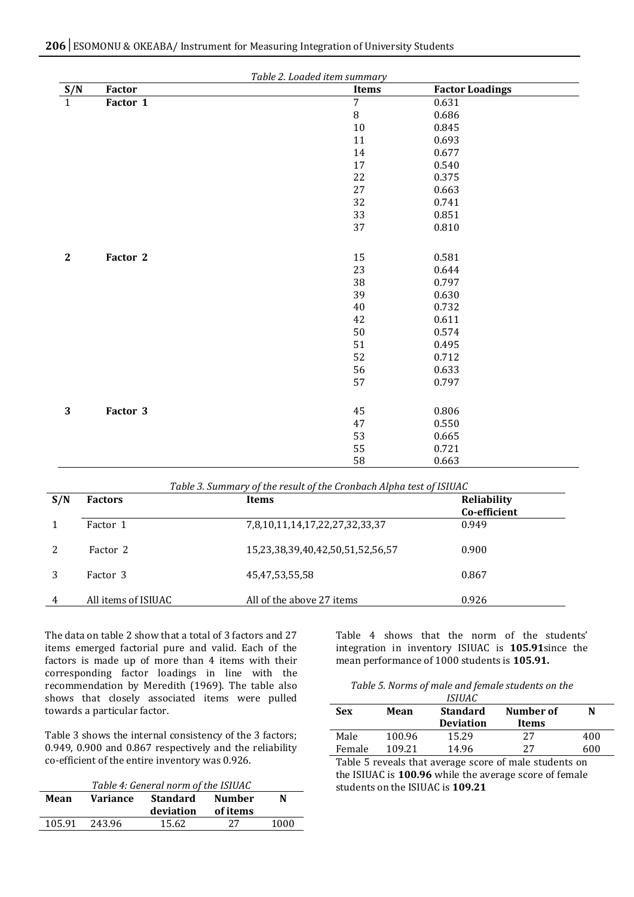| Table 2. Loaded item summary |          |                |                        |  |  |  |  |  |
|------------------------------|----------|----------------|------------------------|--|--|--|--|--|
| S/N                          | Factor   | Items          | <b>Factor Loadings</b> |  |  |  |  |  |
| $\mathbf{1}$                 | Factor 1 | $\overline{7}$ | 0.631                  |  |  |  |  |  |
|                              |          | $\, 8$         | 0.686                  |  |  |  |  |  |
|                              |          | 10             | 0.845                  |  |  |  |  |  |
|                              |          | 11             | 0.693                  |  |  |  |  |  |
|                              |          | 14             | 0.677                  |  |  |  |  |  |
|                              |          | 17             | 0.540                  |  |  |  |  |  |
|                              |          | 22             | 0.375                  |  |  |  |  |  |
|                              |          | 27             | 0.663                  |  |  |  |  |  |
|                              |          | 32             | 0.741                  |  |  |  |  |  |
|                              |          | 33             | 0.851                  |  |  |  |  |  |
|                              |          | 37             | 0.810                  |  |  |  |  |  |
|                              |          |                |                        |  |  |  |  |  |
| $\mathbf{2}$                 | Factor 2 | 15             | 0.581                  |  |  |  |  |  |
|                              |          | 23             | 0.644                  |  |  |  |  |  |
|                              |          | 38             | 0.797                  |  |  |  |  |  |
|                              |          | 39             | 0.630                  |  |  |  |  |  |
|                              |          | 40             | 0.732                  |  |  |  |  |  |
|                              |          | 42             | 0.611                  |  |  |  |  |  |
|                              |          | 50             | 0.574                  |  |  |  |  |  |
|                              |          | 51             | 0.495                  |  |  |  |  |  |
|                              |          | 52             | 0.712                  |  |  |  |  |  |
|                              |          | 56             | 0.633                  |  |  |  |  |  |
|                              |          | 57             | 0.797                  |  |  |  |  |  |
|                              |          |                |                        |  |  |  |  |  |
|                              |          |                |                        |  |  |  |  |  |
| $\mathbf{3}$                 | Factor 3 | 45             | 0.806                  |  |  |  |  |  |
|                              |          | 47             | 0.550                  |  |  |  |  |  |
|                              |          | 53             | 0.665                  |  |  |  |  |  |
|                              |          | 55             | 0.721                  |  |  |  |  |  |
|                              |          | 58             | 0.663                  |  |  |  |  |  |

| Table 3. Summary of the result of the Cronbach Alpha test of ISIUAC |                     |                                  |                                    |  |  |  |  |  |
|---------------------------------------------------------------------|---------------------|----------------------------------|------------------------------------|--|--|--|--|--|
| S/N                                                                 | <b>Factors</b>      | <b>Items</b>                     | <b>Reliability</b><br>Co-efficient |  |  |  |  |  |
|                                                                     | Factor 1            | 7,8,10,11,14,17,22,27,32,33,37   | 0.949                              |  |  |  |  |  |
| 2                                                                   | Factor 2            | 15,23,38,39,40,42,50,51,52,56,57 | 0.900                              |  |  |  |  |  |
| 3                                                                   | Factor 3            | 45,47,53,55,58                   | 0.867                              |  |  |  |  |  |
| 4                                                                   | All items of ISIUAC | All of the above 27 items        | 0.926                              |  |  |  |  |  |

The data on table 2 show that a total of 3 factors and 27 items emerged factorial pure and valid. Each of the factors is made up of more than 4 items with their corresponding factor loadings in line with the recommendation by Meredith (1969). The table also shows that closely associated items were pulled towards a particular factor.

Table 3 shows the internal consistency of the 3 factors; 0.949, 0.900 and 0.867 respectively and the reliability co-efficient of the entire inventory was 0.926.

| Table 4: General norm of the ISIUAC |           |          |      |  |  |  |  |  |
|-------------------------------------|-----------|----------|------|--|--|--|--|--|
| Variance                            | Standard  | Number   | N    |  |  |  |  |  |
|                                     | deviation | of items |      |  |  |  |  |  |
| 243.96                              | 15.62     | 27       | 1000 |  |  |  |  |  |
|                                     |           |          |      |  |  |  |  |  |

Table 4 shows that the norm of the students' integration in inventory ISIUAC is **105.91**since the mean performance of 1000 students is **105.91.**

*Table 5. Norms of male and female students on the* 

|        |                         | ISIUAC           |           |     |
|--------|-------------------------|------------------|-----------|-----|
| Sex    | <b>Standard</b><br>Mean |                  | Number of | N   |
|        |                         | <b>Deviation</b> | Items     |     |
| Male   | 100.96                  | 15.29            | 27        | 400 |
| Female | 109.21                  | 14.96            | 27        | 600 |

Table 5 reveals that average score of male students on the ISIUAC is **100.96** while the average score of female students on the ISIUAC is **109.21**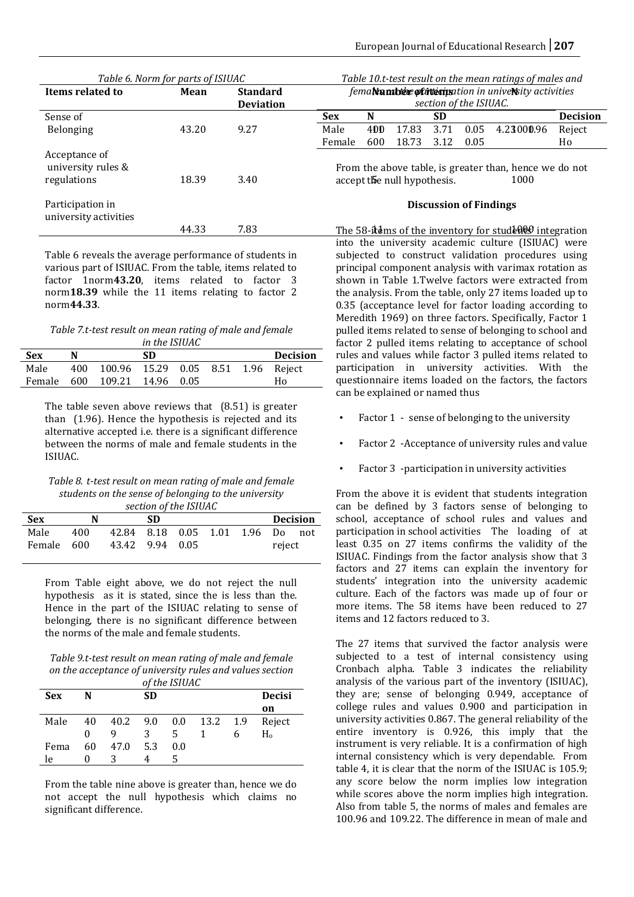| Table 6. Norm for parts of ISIUAC                  |       |                  | Table 10.t-test result on the mean ratings of males and                                       |     |       |           |                        |                                                             |                 |
|----------------------------------------------------|-------|------------------|-----------------------------------------------------------------------------------------------|-----|-------|-----------|------------------------|-------------------------------------------------------------|-----------------|
| Items related to                                   | Mean  | <b>Standard</b>  |                                                                                               |     |       |           |                        | fema <b>Namble of itteris</b> ation in univeNity activities |                 |
|                                                    |       | <b>Deviation</b> |                                                                                               |     |       |           | section of the ISIUAC. |                                                             |                 |
| Sense of                                           |       |                  | <b>Sex</b>                                                                                    | N   |       | <b>SD</b> |                        |                                                             | <b>Decision</b> |
| Belonging                                          | 43.20 | 9.27             | Male                                                                                          | 400 | 17.83 | 3.71      | 0.05                   | 4.23000.96                                                  | Reject          |
|                                                    |       |                  | Female                                                                                        | 600 | 18.73 | 3.12      | 0.05                   |                                                             | Ho              |
| Acceptance of<br>university rules &<br>regulations | 18.39 | 3.40             | From the above table, is greater than, hence we do not<br>accept the null hypothesis.<br>1000 |     |       |           |                        |                                                             |                 |
| Participation in<br>university activities          |       |                  | <b>Discussion of Findings</b>                                                                 |     |       |           |                        |                                                             |                 |
|                                                    | 44.33 | 7.83             |                                                                                               |     |       |           |                        | The 58-it ms of the inventory for students integration      |                 |

Table 6 reveals the average performance of students in various part of ISIUAC. From the table, items related to factor 1norm**43.20**, items related to factor 3 norm**18.39** while the 11 items relating to factor 2 norm**44.33**.

*Table 7.t-test result on mean rating of male and female in the ISIUAC*

| <b>Sex</b> | N |                                        | SD |  | <b>Decision</b> |
|------------|---|----------------------------------------|----|--|-----------------|
| Male       |   | 400 100.96 15.29 0.05 8.51 1.96 Reject |    |  |                 |
|            |   | Female 600 109.21 14.96 0.05           |    |  | Ho              |

The table seven above reviews that (8.51) is greater than (1.96). Hence the hypothesis is rejected and its alternative accepted i.e. there is a significant difference between the norms of male and female students in the ISIUAC.

*Table 8. t-test result on mean rating of male and female students on the sense of belonging to the university section of the ISIUAC* 

| <b>Sex</b> | N   |                                  | SD |  |        | <b>Decision</b> |
|------------|-----|----------------------------------|----|--|--------|-----------------|
| Male       | 400 | 42.84 8.18 0.05 1.01 1.96 Do not |    |  |        |                 |
| Female 600 |     | 43.42 9.94 0.05                  |    |  | reject |                 |

From Table eight above, we do not reject the null hypothesis as it is stated, since the is less than the. Hence in the part of the ISIUAC relating to sense of belonging, there is no significant difference between the norms of the male and female students.

*Table 9.t-test result on mean rating of male and female on the acceptance of university rules and values section of the ISIUAC* 

| of the ISIUAC |    |          |     |     |                |  |               |  |  |
|---------------|----|----------|-----|-----|----------------|--|---------------|--|--|
| <b>Sex</b>    | N  | SD       |     |     |                |  | <b>Decisi</b> |  |  |
|               |    |          |     |     |                |  | on            |  |  |
| Male          | 40 | 40.2 9.0 |     |     | $0.0$ 13.2 1.9 |  | Reject        |  |  |
|               | 0  |          | 3   | 5   |                |  | $H_{0}$       |  |  |
| Fema          | 60 | 47.0     | 5.3 | 0.0 |                |  |               |  |  |
| le            |    |          |     |     |                |  |               |  |  |

From the table nine above is greater than, hence we do not accept the null hypothesis which claims no significant difference.

The 58-items of the inventory for students integration into the university academic culture (ISIUAC) were subjected to construct validation procedures using principal component analysis with varimax rotation as shown in Table 1.Twelve factors were extracted from the analysis. From the table, only 27 items loaded up to 0.35 (acceptance level for factor loading according to Meredith 1969) on three factors. Specifically, Factor 1 pulled items related to sense of belonging to school and factor 2 pulled items relating to acceptance of school rules and values while factor 3 pulled items related to participation in university activities. With the questionnaire items loaded on the factors, the factors can be explained or named thus

- Factor 1 sense of belonging to the university
- Factor 2 -Acceptance of university rules and value
- Factor 3 -participation in university activities

From the above it is evident that students integration can be defined by 3 factors sense of belonging to school, acceptance of school rules and values and participation in school activities The loading of at least 0.35 on 27 items confirms the validity of the ISIUAC. Findings from the factor analysis show that 3 factors and 27 items can explain the inventory for students' integration into the university academic culture. Each of the factors was made up of four or more items. The 58 items have been reduced to 27 items and 12 factors reduced to 3.

The 27 items that survived the factor analysis were subjected to a test of internal consistency using Cronbach alpha. Table 3 indicates the reliability analysis of the various part of the inventory (ISIUAC), they are; sense of belonging 0.949, acceptance of college rules and values 0.900 and participation in university activities 0.867. The general reliability of the entire inventory is 0.926, this imply that the instrument is very reliable. It is a confirmation of high internal consistency which is very dependable. From table 4, it is clear that the norm of the ISIUAC is 105.9; any score below the norm implies low integration while scores above the norm implies high integration. Also from table 5, the norms of males and females are 100.96 and 109.22. The difference in mean of male and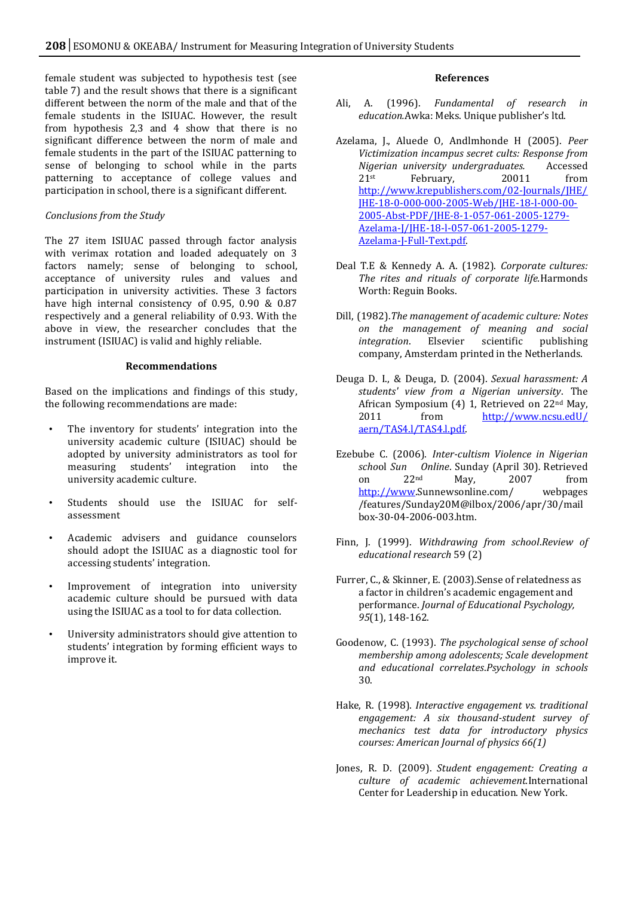female student was subjected to hypothesis test (see table 7) and the result shows that there is a significant different between the norm of the male and that of the female students in the ISIUAC. However, the result from hypothesis 2,3 and 4 show that there is no significant difference between the norm of male and female students in the part of the ISIUAC patterning to sense of belonging to school while in the parts patterning to acceptance of college values and participation in school, there is a significant different.

#### *Conclusions from the Study*

The 27 item ISIUAC passed through factor analysis with verimax rotation and loaded adequately on 3 factors namely; sense of belonging to school, acceptance of university rules and values and participation in university activities. These 3 factors have high internal consistency of 0.95, 0.90 & 0.87 respectively and a general reliability of 0.93. With the above in view, the researcher concludes that the instrument (ISIUAC) is valid and highly reliable.

#### **Recommendations**

Based on the implications and findings of this study, the following recommendations are made:

- The inventory for students' integration into the university academic culture (ISIUAC) should be adopted by university administrators as tool for measuring students' integration into the university academic culture.
- Students should use the ISIUAC for selfassessment
- Academic advisers and guidance counselors should adopt the ISIUAC as a diagnostic tool for accessing students' integration.
- Improvement of integration into university academic culture should be pursued with data using the ISIUAC as a tool to for data collection.
- University administrators should give attention to students' integration by forming efficient ways to improve it.

#### **References**

- Ali, A. (1996). *Fundamental of research in education.*Awka: Meks. Unique publisher's ltd.
- Azelama, J., Aluede O, Andlmhonde H (2005). *Peer Victimization incampus secret cults: Response from Nigerian university undergraduates.* Accessed  $21$ st February, 20011 from [http://www.krepublishers.com/02-Journals/JHE/](http://www.krepublishers.com/02-Journals/JHE/%20JHE-18-0-000-000-2005-Web/JHE-18-l-000-00-2005-Abst-PDF/JHE-8-1-057-061-2005-1279-Azelama-J/JHE-18-l-057-061-2005-1279-Azelama-J-Full-Text.pdf)  [JHE-18-0-000-000-2005-Web/JHE-18-l-000-00-](http://www.krepublishers.com/02-Journals/JHE/%20JHE-18-0-000-000-2005-Web/JHE-18-l-000-00-2005-Abst-PDF/JHE-8-1-057-061-2005-1279-Azelama-J/JHE-18-l-057-061-2005-1279-Azelama-J-Full-Text.pdf) [2005-Abst-PDF/JHE-8-1-057-061-2005-1279-](http://www.krepublishers.com/02-Journals/JHE/%20JHE-18-0-000-000-2005-Web/JHE-18-l-000-00-2005-Abst-PDF/JHE-8-1-057-061-2005-1279-Azelama-J/JHE-18-l-057-061-2005-1279-Azelama-J-Full-Text.pdf) [Azelama-J/JHE-18-l-057-061-2005-1279-](http://www.krepublishers.com/02-Journals/JHE/%20JHE-18-0-000-000-2005-Web/JHE-18-l-000-00-2005-Abst-PDF/JHE-8-1-057-061-2005-1279-Azelama-J/JHE-18-l-057-061-2005-1279-Azelama-J-Full-Text.pdf) [Azelama-J-Full-Text.pdf.](http://www.krepublishers.com/02-Journals/JHE/%20JHE-18-0-000-000-2005-Web/JHE-18-l-000-00-2005-Abst-PDF/JHE-8-1-057-061-2005-1279-Azelama-J/JHE-18-l-057-061-2005-1279-Azelama-J-Full-Text.pdf)
- Deal T.E & Kennedy A. A. (1982). *Corporate cultures: The rites and rituals of corporate life.*Harmonds Worth: Reguin Books.
- Dill, (1982).*The management of academic culture: Notes on the management of meaning and social integration*. Elsevier scientific publishing company, Amsterdam printed in the Netherlands.
- Deuga D. I., & Deuga, D. (2004). *Sexual harassment: A students' view from a Nigerian university*. The African Symposium (4) 1, Retrieved on 22nd May, 2011 from http://www.ncsu.edU/ [aern/TAS4.l/TAS4.l.pdf.](http://www.ncsu.edu/%20aern/TAS4.l/TAS4.l.pdf)
- Ezebube C. (2006). *Inter-cultism Violence in Nigerian scho*ol *Sun Online*. Sunday (April 30)*.* Retrieved on 22nd May, 2007 from [http://www.S](http://www/)unnewsonline.com/ webpages /features/Sunday20M@ilbox/2006/apr/30/mail box-30-04-2006-003.htm.
- Finn, J. (1999). *Withdrawing from school*.*Review of educational research* 59 (2)
- Furrer, C., & Skinner, E. (2003).Sense of relatedness as a factor in children's academic engagement and performance. *Journal of Educational Psychology, 95*(1), 148-162.
- Goodenow, C. (1993). *The psychological sense of school membership among adolescents; Scale development and educational correlates*.*Psychology in schools*  30.
- Hake, R. (1998). *Interactive engagement vs. traditional engagement: A six thousand-student survey of mechanics test data for introductory physics courses: American Journal of physics 66(1)*
- Jones, R. D. (2009). *Student engagement: Creating a culture of academic achievement.*International Center for Leadership in education. New York.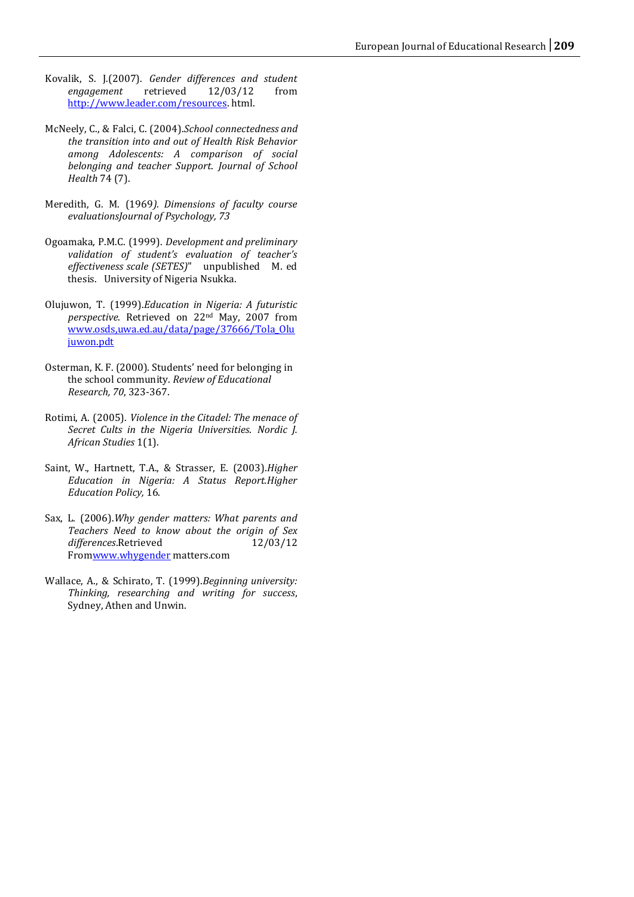- Kovalik, S. J.(2007). *Gender differences and student*   $e$ ngagement [http://www.leader.com/resources.](http://www.leader.com/resources) html.
- McNeely, C., & Falci, C. (2004).*School connectedness and the transition into and out of Health Risk Behavior among Adolescents: A comparison of social belonging and teacher Support*. *Journal of School Health* 74 (7).
- Meredith, G. M. (1969*). Dimensions of faculty course evaluationsJournal of Psychology, 73*
- Ogoamaka, P.M.C. (1999). *Development and preliminary validation of student's evaluation of teacher's effectiveness scale (SETES)*" unpublished M. ed thesis. University of Nigeria Nsukka.
- Olujuwon, T. (1999).*Education in Nigeria: A futuristic perspective*. Retrieved on 22nd May, 2007 from [www.osds,uwa.ed.au/data/page/37666/Tola\\_Olu](http://www.osds,uwa.ed.au/data/page/37666/Tola_Olujuwon.pdt) [juwon.pdt](http://www.osds,uwa.ed.au/data/page/37666/Tola_Olujuwon.pdt)
- Osterman, K. F. (2000). Students' need for belonging in the school community. *Review of Educational Research, 70*, 323-367.
- Rotimi, A. (2005). *Violence in the Citadel: The menace of Secret Cults in the Nigeria Universities*. *Nordic J. African Studies* 1(1).
- Saint, W., Hartnett, T.A., & Strasser, E. (2003).*Higher Education in Nigeria: A Status Report.Higher Education Policy,* 16.
- Sax, L. (2006).*Why gender matters: What parents and Teachers Need to know about the origin of Sex*  differences.Retrieved 12/03/12 Fro[mwww.whygender](http://www.whygender/) matters.com
- Wallace, A., & Schirato, T. (1999).*Beginning university: Thinking, researching and writing for success*, Sydney, Athen and Unwin.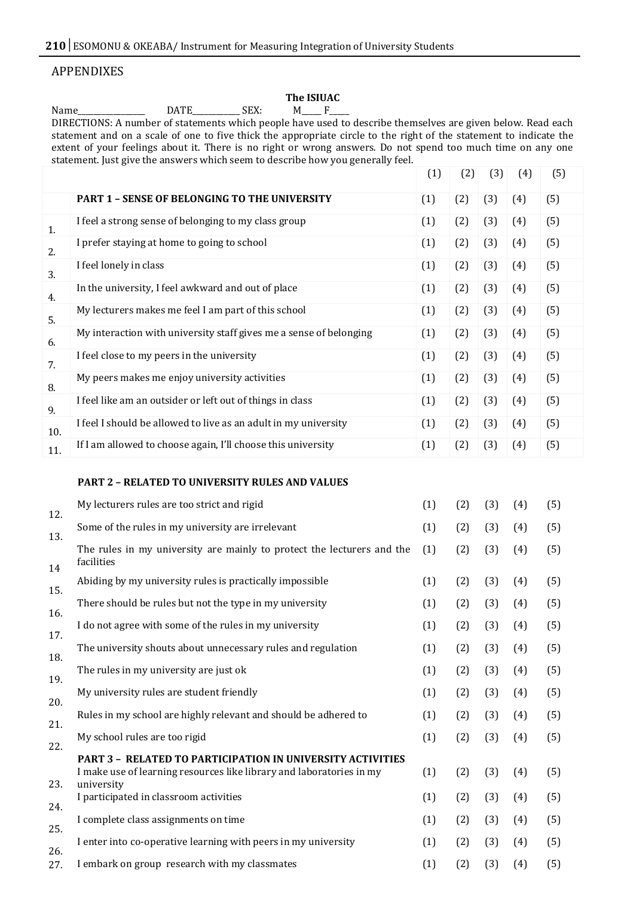# APPENDIXES

# The **ISIUAC**<br>M\_\_\_\_ F\_\_\_

Name\_\_\_\_\_\_\_\_\_\_\_\_\_\_\_\_\_ DATE\_\_\_\_\_\_\_\_\_\_\_\_ SEX: M\_\_\_\_\_ F\_\_\_\_\_ DIRECTIONS: A number of statements which people have used to describe themselves are given below. Read each statement and on a scale of one to five thick the appropriate circle to the right of the statement to indicate the extent of your feelings about it. There is no right or wrong answers. Do not spend too much time on any one statement. Just give the answers which seem to describe how you generally feel.  $(1)$   $(2)$   $(3)$   $(4)$   $(5)$ 

|     |                                                                    | ιIJ | ιų  | ιIJ | $\mathbf{F}$ | ιIJ |
|-----|--------------------------------------------------------------------|-----|-----|-----|--------------|-----|
|     | <b>PART 1 - SENSE OF BELONGING TO THE UNIVERSITY</b>               | (1) | (2) | (3) | (4)          | (5) |
| 1.  | I feel a strong sense of belonging to my class group               | (1) | (2) | (3) | (4)          | (5) |
| 2.  | I prefer staying at home to going to school                        | (1) | (2) | (3) | (4)          | (5) |
| 3.  | I feel lonely in class                                             | (1) | (2) | (3) | (4)          | (5) |
| 4.  | In the university, I feel awkward and out of place                 | (1) | (2) | (3) | (4)          | (5) |
| 5.  | My lecturers makes me feel I am part of this school                | (1) | (2) | (3) | (4)          | (5) |
| 6.  | My interaction with university staff gives me a sense of belonging | (1) | (2) | (3) | (4)          | (5) |
| 7.  | I feel close to my peers in the university                         | (1) | (2) | (3) | (4)          | (5) |
| 8.  | My peers makes me enjoy university activities                      | (1) | (2) | (3) | (4)          | (5) |
| 9.  | I feel like am an outsider or left out of things in class          | (1) | (2) | (3) | (4)          | (5) |
| 10. | I feel I should be allowed to live as an adult in my university    | (1) | (2) | (3) | (4)          | (5) |
| 11. | If I am allowed to choose again, I'll choose this university       | (1) | (2) | (3) | (4)          | (5) |

#### **PART 2 – RELATED TO UNIVERSITY RULES AND VALUES**

| 12. | My lecturers rules are too strict and rigid                                                                                                             | (1) | (2) | (3) | (4) | (5) |
|-----|---------------------------------------------------------------------------------------------------------------------------------------------------------|-----|-----|-----|-----|-----|
| 13. | Some of the rules in my university are irrelevant                                                                                                       | (1) | (2) | (3) | (4) | (5) |
| 14  | The rules in my university are mainly to protect the lecturers and the<br>facilities                                                                    | (1) | (2) | (3) | (4) | (5) |
| 15. | Abiding by my university rules is practically impossible                                                                                                | (1) | (2) | (3) | (4) | (5) |
| 16. | There should be rules but not the type in my university                                                                                                 | (1) | (2) | (3) | (4) | (5) |
| 17. | I do not agree with some of the rules in my university                                                                                                  | (1) | (2) | (3) | (4) | (5) |
| 18. | The university shouts about unnecessary rules and regulation                                                                                            | (1) | (2) | (3) | (4) | (5) |
| 19. | The rules in my university are just ok                                                                                                                  | (1) | (2) | (3) | (4) | (5) |
| 20. | My university rules are student friendly                                                                                                                | (1) | (2) | (3) | (4) | (5) |
| 21. | Rules in my school are highly relevant and should be adhered to                                                                                         | (1) | (2) | (3) | (4) | (5) |
| 22. | My school rules are too rigid                                                                                                                           | (1) | (2) | (3) | (4) | (5) |
| 23. | <b>PART 3 - RELATED TO PARTICIPATION IN UNIVERSITY ACTIVITIES</b><br>I make use of learning resources like library and laboratories in my<br>university | (1) | (2) | (3) | (4) | (5) |
| 24. | I participated in classroom activities                                                                                                                  | (1) | (2) | (3) | (4) | (5) |
| 25. | I complete class assignments on time                                                                                                                    | (1) | (2) | (3) | (4) | (5) |
| 26. | I enter into co-operative learning with peers in my university                                                                                          | (1) | (2) | (3) | (4) | (5) |
| 27. | I embark on group research with my classmates                                                                                                           | (1) | (2) | (3) | (4) | (5) |